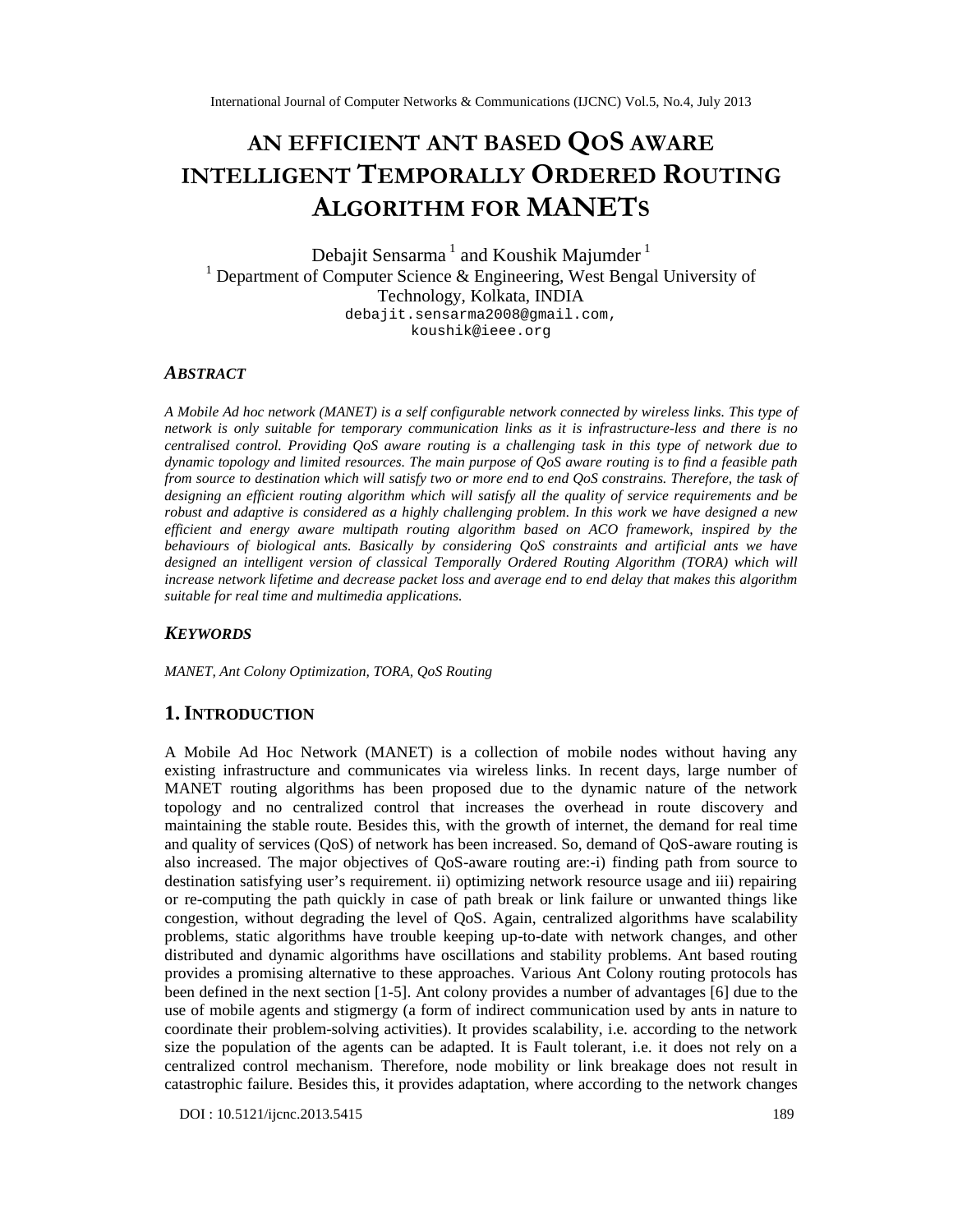# ANEFFICIENT BASQOSAWARE INTELLIGENTEMPORALORDEREROUTING ALGORITHM FLOORNEST

Debajit SensarmaandKoushik Majumder<sup>1</sup> <sup>1</sup> Department of Computer Science & Engineering, West Bengal University of Technology, Kolkata, INDIA debajit.se[nsarma2008@gmail.com](mailto:sensarma2008@gmail.com) , [koushik@ieee.org](mailto:koushik@ieee.org)

# ABSTRACT

A Mobile Ad hoc network (MANETs a self configurablenetwork conneted by wireless links.This type of network is only sumable for temporary communication linkes it is infrastructureless and there is no centralised control Providing QoS aware routing is a challenging task in this type of network due to dynamic topology and limited resources. The main purpose of QoS anvaired is to find a feasible path from source to destination which will satisfy two or more end to end QoS constrains. The hefterek of designingan efficient routing algorithmwhich will satisfy all the quaty of service requirements and be robust and adaptives consideed as a highly challenging problem. It his work we have designed a new efficient and energy aware multipath routing gorithm based on ACO framework, inspired by the behaviours of biological ants. Basically by considering QoStorstraints and artificial ants wehave designed an intelligent version of assical Temporally Ordered Routing Algorith (TORA) which will increase network lifetime and decrease packet loss and average end to end delay that makes this algorithm suitable forreal time and multimedia applications.

# **KEYWORDS**

MANET, Ant Colony Optimization, TORA, QoS Routing

# 1.I NTRODUCTION

A Mobile Ad Hoc Network (MANET) is a collection of mobile nodes without having any existing infrastructure and communicates via wirellesses. In recent days, large number of MANET routing algorithms has been proposed due to the dynamic nature of the network topology and no centralized control thatincreases the overhead in route discovery and maintaining the stable route. Besides this the growth of internet, the demand for real time and quality of services (QoS) of network has been increased. So, demand an apeopouting is also increased. The major objectives of Qoogare routing arei) finding path from source to destination atisfying user€s requirement. ii) optimizing network resource usage and iii) repairing or recomputing the path quickly in case of path break or link failure or unwanted things like congestion, without degrading the level of QoS. Again, centralized algorithave scalabily problems, static algorithms have trouble keepinet up ate with network changes, and other distributed and dynamic algorithms have oscillations and stability problems. Ant based routing provides a promising alternative to these apchies. Various Ant Colony routing protocols has beendefined in the next section-[5]. Ant colony povides a number of advantages (foue to the use of mobile agents and stigmergy (a form of indirect communication used by ants in nature to coordinate theirproblem-solving activities). It provides scalability, i.e. according to the network size the population of the agents can be adapted. It is Fault tolerant, i.e. it does not rely on a centralized control mechanism. Therefore, node mobility or link breakdomes not result in catastrophic failure. Besides this, it provides adaptation, where according to who eknobing contain-

DOI : 10.5121/ijcnc.2013.5415 189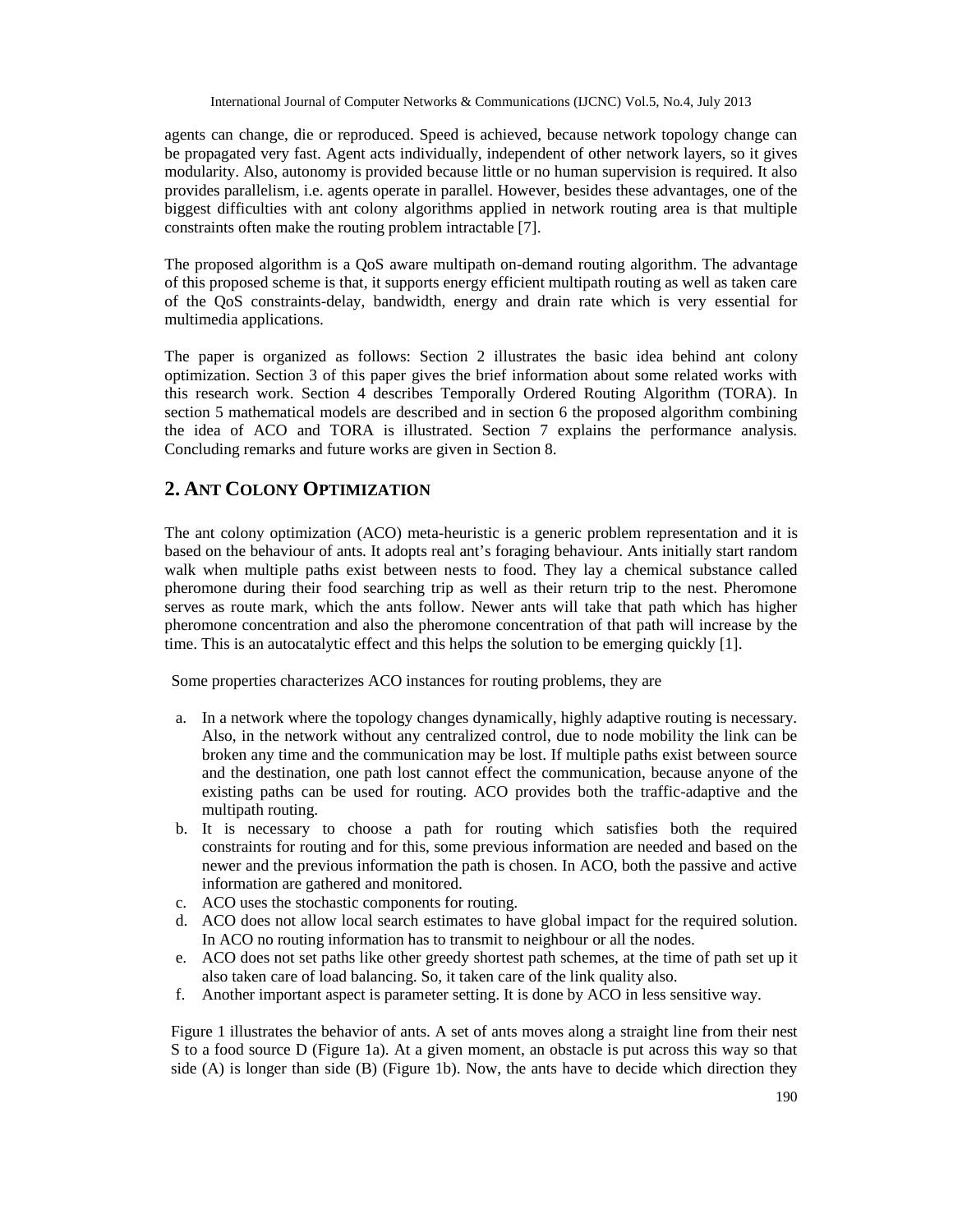agents can change, die or reproduced. Speed is achieved, because network topology change can be propagated very fast. Agent acts individually, independent of other network layers, so it gives modularity. Also, autonomy is provided because little or no human supervision is required. It also provides parallelism, i.e. agents operate in parallel. However, besides these advantages, one of the biggest difficulties with ant colony algorithms applied in network routing area is that multiple constraints often make the routing problem intractable [7].

The proposed algorithm is a QoS aware multipath on-demand routing algorithm. The advantage of this proposed scheme is that, it supports energy efficient multipath routing as well as taken care of the QoS constraints-delay, bandwidth, energy and drain rate which is very essential for multimedia applications.

The paper is organized as follows: Section 2 illustrates the basic idea behind ant colony optimization. Section 3 of this paper gives the brief information about some related works with this research work. Section 4 describes Temporally Ordered Routing Algorithm (TORA). In section 5 mathematical models are described and in section 6 the proposed algorithm combining the idea of ACO and TORA is illustrated. Section 7 explains the performance analysis. Concluding remarks and future works are given in Section 8.

# **2. ANT COLONY OPTIMIZATION**

The ant colony optimization (ACO) meta-heuristic is a generic problem representation and it is based on the behaviour of ants. It adopts real ant's foraging behaviour. Ants initially start random walk when multiple paths exist between nests to food. They lay a chemical substance called pheromone during their food searching trip as well as their return trip to the nest. Pheromone serves as route mark, which the ants follow. Newer ants will take that path which has higher pheromone concentration and also the pheromone concentration of that path will increase by the time. This is an autocatalytic effect and this helps the solution to be emerging quickly [1].

Some properties characterizes ACO instances for routing problems, they are

- a. In a network where the topology changes dynamically, highly adaptive routing is necessary. Also, in the network without any centralized control, due to node mobility the link can be broken any time and the communication may be lost. If multiple paths exist between source and the destination, one path lost cannot effect the communication, because anyone of the existing paths can be used for routing. ACO provides both the traffic-adaptive and the multipath routing.
- b. It is necessary to choose a path for routing which satisfies both the required constraints for routing and for this, some previous information are needed and based on the newer and the previous information the path is chosen. In ACO, both the passive and active information are gathered and monitored.
- c. ACO uses the stochastic components for routing.
- d. ACO does not allow local search estimates to have global impact for the required solution. In ACO no routing information has to transmit to neighbour or all the nodes.
- e. ACO does not set paths like other greedy shortest path schemes, at the time of path set up it also taken care of load balancing. So, it taken care of the link quality also.
- f. Another important aspect is parameter setting. It is done by ACO in less sensitive way.

Figure 1 illustrates the behavior of ants. A set of ants moves along a straight line from their nest S to a food source D (Figure 1a). At a given moment, an obstacle is put across this way so that side (A) is longer than side (B) (Figure 1b). Now, the ants have to decide which direction they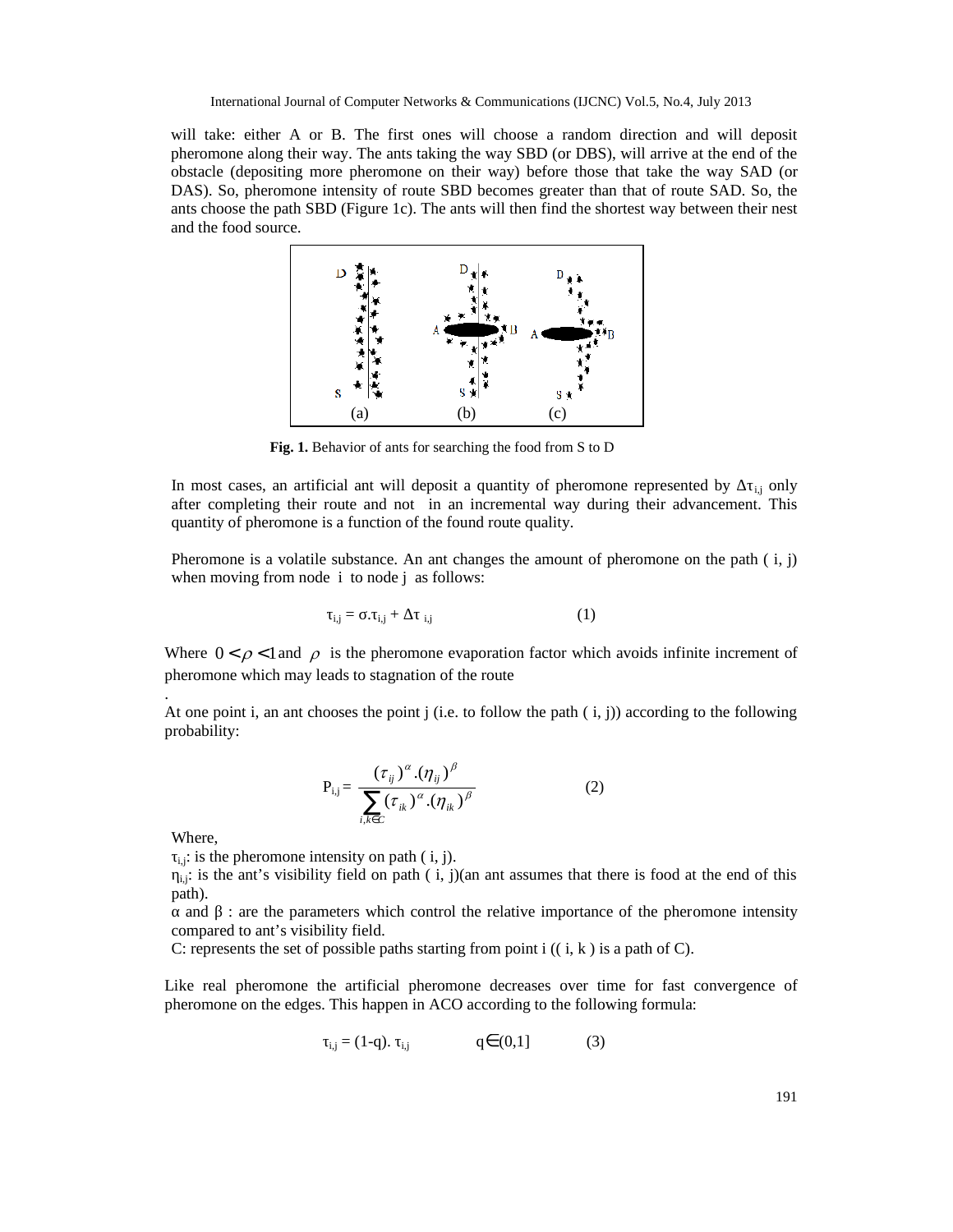will take: either A or B. The first ones will choose a random direction and will deposit pheromone along their way. The ants taking the way SBD (or DBS), will arrive at the end of the obstacle (depositing more pheromone on their way) before those that take the way SAD (or DAS). So, pheromone intensity of route SBD becomes greater than that of route SAD. So, the ants choose the path SBD (Figure 1c). The ants will then find the shortest way between their nest and the food source.



**Fig. 1.** Behavior of ants for searching the food from S to D

In most cases, an artificial ant will deposit a quantity of pheromone represented by  $\overline{\phantom{a}}_{i,j}$  only after completing their route and not in an incremental way during their advancement. This quantity of pheromone is a function of the found route quality.

Pheromone is a volatile substance. An ant changes the amount of pheromone on the path  $(i, j)$ when moving from node i to node j as follows:

$$
i,j = \cdot i,j + i,j \tag{1}
$$

Where  $0 < \rho < 1$  and  $\rho$  is the pheromone evaporation factor which avoids infinite increment of pheromone which may leads to stagnation of the route

At one point i, an ant chooses the point  $j$  (i.e. to follow the path  $(i, j)$ ) according to the following probability:

$$
P_{i,j} = \frac{(\tau_{ij})^{\alpha} . (\eta_{ij})^{\beta}}{\sum_{i,k \in C} (\tau_{ik})^{\alpha} . (\eta_{ik})^{\beta}}
$$
(2)

Where,

.

 $_{i,j}$ : is the pheromone intensity on path (i, j).

 $_{i,j}:$  is the ant's visibility field on path ( i, j)(an ant assumes that there is food at the end of this path).

and : are the parameters which control the relative importance of the pheromone intensity compared to ant's visibility field.

C: represents the set of possible paths starting from point  $i$  (( $i, k$ ) is a path of C).

Like real pheromone the artificial pheromone decreases over time for fast convergence of pheromone on the edges. This happen in ACO according to the following formula:

$$
_{i,j} = (1-q). \t i,j \t q \in (0,1] \t (3)
$$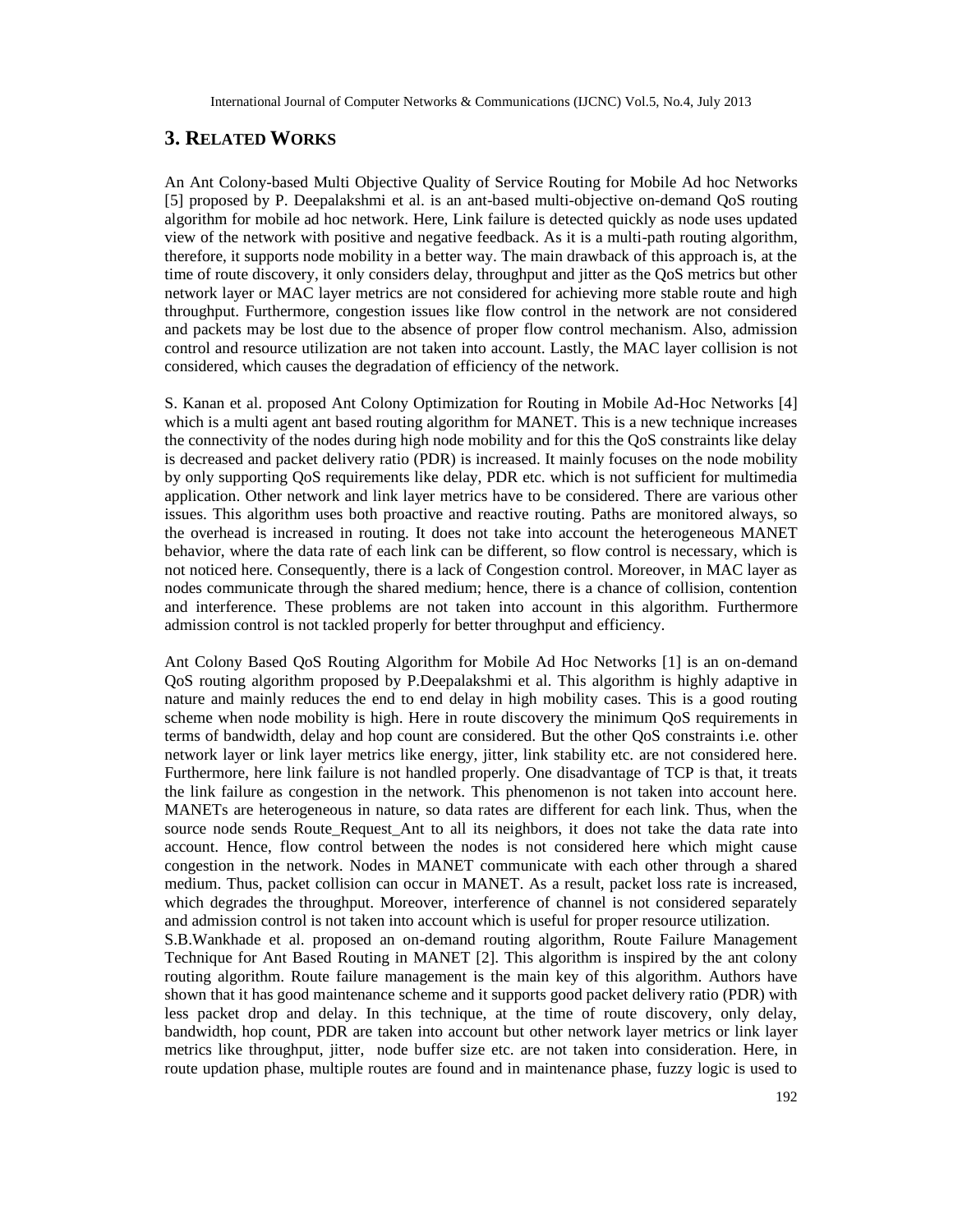# **3. RELATED WORKS**

An Ant Colony-based Multi Objective Quality of Service Routing for Mobile Ad hoc Networks [5] proposed by P. Deepalakshmi et al. is an ant-based multi-objective on-demand QoS routing algorithm for mobile ad hoc network. Here, Link failure is detected quickly as node uses updated view of the network with positive and negative feedback. As it is a multi-path routing algorithm, therefore, it supports node mobility in a better way. The main drawback of this approach is, at the time of route discovery, it only considers delay, throughput and jitter as the QoS metrics but other network layer or MAC layer metrics are not considered for achieving more stable route and high throughput. Furthermore, congestion issues like flow control in the network are not considered and packets may be lost due to the absence of proper flow control mechanism. Also, admission control and resource utilization are not taken into account. Lastly, the MAC layer collision is not considered, which causes the degradation of efficiency of the network.

S. Kanan et al. proposed Ant Colony Optimization for Routing in Mobile Ad-Hoc Networks [4] which is a multi agent ant based routing algorithm for MANET. This is a new technique increases the connectivity of the nodes during high node mobility and for this the QoS constraints like delay is decreased and packet delivery ratio (PDR) is increased. It mainly focuses on the node mobility by only supporting QoS requirements like delay, PDR etc. which is not sufficient for multimedia application. Other network and link layer metrics have to be considered. There are various other issues. This algorithm uses both proactive and reactive routing. Paths are monitored always, so the overhead is increased in routing. It does not take into account the heterogeneous MANET behavior, where the data rate of each link can be different, so flow control is necessary, which is not noticed here. Consequently, there is a lack of Congestion control. Moreover, in MAC layer as nodes communicate through the shared medium; hence, there is a chance of collision, contention and interference. These problems are not taken into account in this algorithm. Furthermore admission control is not tackled properly for better throughput and efficiency.

Ant Colony Based QoS Routing Algorithm for Mobile Ad Hoc Networks [1] is an on-demand QoS routing algorithm proposed by P.Deepalakshmi et al. This algorithm is highly adaptive in nature and mainly reduces the end to end delay in high mobility cases. This is a good routing scheme when node mobility is high. Here in route discovery the minimum QoS requirements in terms of bandwidth, delay and hop count are considered. But the other QoS constraints i.e. other network layer or link layer metrics like energy, jitter, link stability etc. are not considered here. Furthermore, here link failure is not handled properly. One disadvantage of TCP is that, it treats the link failure as congestion in the network. This phenomenon is not taken into account here. MANETs are heterogeneous in nature, so data rates are different for each link. Thus, when the source node sends Route\_Request\_Ant to all its neighbors, it does not take the data rate into account. Hence, flow control between the nodes is not considered here which might cause congestion in the network. Nodes in MANET communicate with each other through a shared medium. Thus, packet collision can occur in MANET. As a result, packet loss rate is increased, which degrades the throughput. Moreover, interference of channel is not considered separately and admission control is not taken into account which is useful for proper resource utilization.

S.B.Wankhade et al. proposed an on-demand routing algorithm, Route Failure Management Technique for Ant Based Routing in MANET [2]. This algorithm is inspired by the ant colony routing algorithm. Route failure management is the main key of this algorithm. Authors have shown that it has good maintenance scheme and it supports good packet delivery ratio (PDR) with less packet drop and delay. In this technique, at the time of route discovery, only delay, bandwidth, hop count, PDR are taken into account but other network layer metrics or link layer metrics like throughput, jitter, node buffer size etc. are not taken into consideration. Here, in route updation phase, multiple routes are found and in maintenance phase, fuzzy logic is used to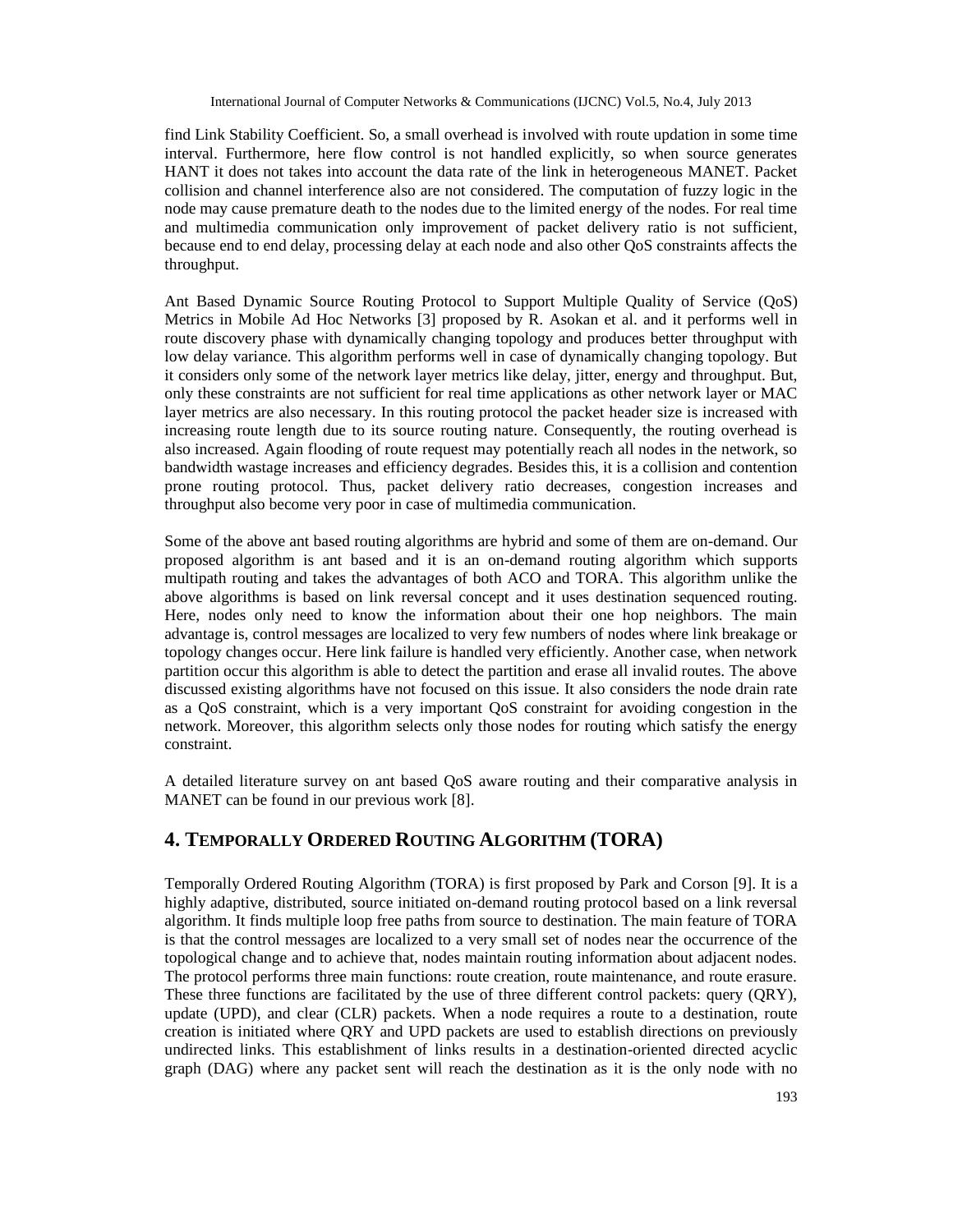find Link Stability Coefficient. So, a small overhead is involved with route updation in some time interval. Furthermore, here flow control is not handled explicitly, so when source generates HANT it does not takes into account the data rate of the link in heterogeneous MANET. Packet collision and channel interference also are not considered. The computation of fuzzy logic in the node may cause premature death to the nodes due to the limited energy of the nodes. For real time and multimedia communication only improvement of packet delivery ratio is not sufficient, because end to end delay, processing delay at each node and also other QoS constraints affects the throughput.

Ant Based Dynamic Source Routing Protocol to Support Multiple Quality of Service (QoS) Metrics in Mobile Ad Hoc Networks [3] proposed by R. Asokan et al. and it performs well in route discovery phase with dynamically changing topology and produces better throughput with low delay variance. This algorithm performs well in case of dynamically changing topology. But it considers only some of the network layer metrics like delay, jitter, energy and throughput. But, only these constraints are not sufficient for real time applications as other network layer or MAC layer metrics are also necessary. In this routing protocol the packet header size is increased with increasing route length due to its source routing nature. Consequently, the routing overhead is also increased. Again flooding of route request may potentially reach all nodes in the network, so bandwidth wastage increases and efficiency degrades. Besides this, it is a collision and contention prone routing protocol. Thus, packet delivery ratio decreases, congestion increases and throughput also become very poor in case of multimedia communication.

Some of the above ant based routing algorithms are hybrid and some of them are on-demand. Our proposed algorithm is ant based and it is an on-demand routing algorithm which supports multipath routing and takes the advantages of both ACO and TORA. This algorithm unlike the above algorithms is based on link reversal concept and it uses destination sequenced routing. Here, nodes only need to know the information about their one hop neighbors. The main advantage is, control messages are localized to very few numbers of nodes where link breakage or topology changes occur. Here link failure is handled very efficiently. Another case, when network partition occur this algorithm is able to detect the partition and erase all invalid routes. The above discussed existing algorithms have not focused on this issue. It also considers the node drain rate as a QoS constraint, which is a very important QoS constraint for avoiding congestion in the network. Moreover, this algorithm selects only those nodes for routing which satisfy the energy constraint.

A detailed literature survey on ant based QoS aware routing and their comparative analysis in MANET can be found in our previous work [8].

# **4. TEMPORALLY ORDERED ROUTING ALGORITHM (TORA)**

Temporally Ordered Routing Algorithm (TORA) is first proposed by Park and Corson [9]. It is a highly adaptive, distributed, source initiated on-demand routing protocol based on a link reversal algorithm. It finds multiple loop free paths from source to destination. The main feature of TORA is that the control messages are localized to a very small set of nodes near the occurrence of the topological change and to achieve that, nodes maintain routing information about adjacent nodes. The protocol performs three main functions: route creation, route maintenance, and route erasure. These three functions are facilitated by the use of three different control packets: query (QRY), update (UPD), and clear (CLR) packets. When a node requires a route to a destination, route creation is initiated where QRY and UPD packets are used to establish directions on previously undirected links. This establishment of links results in a destination-oriented directed acyclic graph (DAG) where any packet sent will reach the destination as it is the only node with no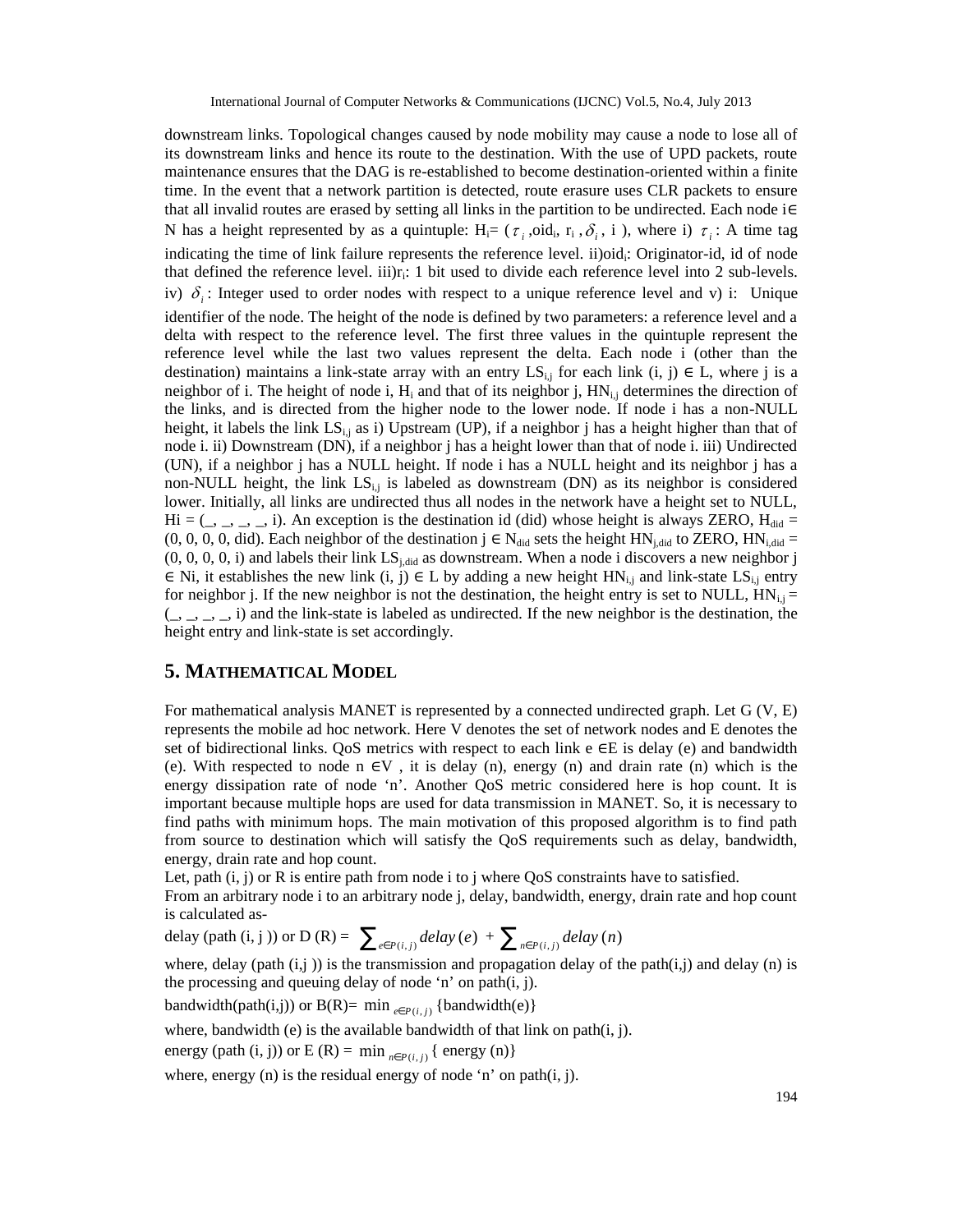downstream links. Topological changes caused by node mobility may cause a node to lose all of its downstream links and hence its route to the destination. With the use of UPD packets, route maintenance ensures that the DAG is re-established to become destination-oriented within a finite time. In the event that a network partition is detected, route erasure uses CLR packets to ensure that all invalid routes are erased by setting all links in the partition to be undirected. Each node  $i\in$ N has a height represented by as a quintuple:  $H_i = (\tau_i, \text{oid}_i, r_i, \delta_i, i)$ , where i)  $\tau_i$ : A time tag indicating the time of link failure represents the reference level. ii)oid<sub>i</sub>: Originator-id, id of node that defined the reference level.  $iii$ <sub>r</sub>: 1 bit used to divide each reference level into 2 sub-levels. iv)  $\delta_i$ : Integer used to order nodes with respect to a unique reference level and v) i: Unique identifier of the node. The height of the node is defined by two parameters: a reference level and a delta with respect to the reference level. The first three values in the quintuple represent the reference level while the last two values represent the delta. Each node i (other than the destination) maintains a link-state array with an entry LS<sub>i</sub>, for each link (i, j)  $\in$  L, where j is a neighbor of i. The height of node i,  $H_i$  and that of its neighbor j,  $HN_{i,j}$  determines the direction of the links, and is directed from the higher node to the lower node. If node i has a non-NULL height, it labels the link  $LS_{i,j}$  as i) Upstream (UP), if a neighbor j has a height higher than that of node i. ii) Downstream (DN), if a neighbor j has a height lower than that of node i. iii) Undirected (UN), if a neighbor j has a NULL height. If node i has a NULL height and its neighbor j has a non-NULL height, the link  $LS_{i,j}$  is labeled as downstream (DN) as its neighbor is considered lower. Initially, all links are undirected thus all nodes in the network have a height set to NULL,  $Hi = (1, 1, 2, ..., 1)$ . An exception is the destination id (did) whose height is always ZERO,  $H_{did} =$ (0, 0, 0, 0, did). Each neighbor of the destination  $j \in N_{did}$  sets the height  $HN_{i, did}$  to ZERO,  $HN_{i, did}$  =  $(0, 0, 0, 0, i)$  and labels their link  $LS_{i,did}$  as downstream. When a node i discovers a new neighbor j  $\in$  Ni, it establishes the new link (i, j)  $\in$  L by adding a new height HN<sub>i,j</sub> and link-state LS<sub>i,j</sub> entry for neighbor j. If the new neighbor is not the destination, the height entry is set to NULL,  $HN_{i,j}$  =  $($ <sub>, -</sub>, -, -, i) and the link-state is labeled as undirected. If the new neighbor is the destination, the height entry and link-state is set accordingly.

# **5. MATHEMATICAL MODEL**

For mathematical analysis MANET is represented by a connected undirected graph. Let G (V, E) represents the mobile ad hoc network. Here V denotes the set of network nodes and E denotes the set of bidirectional links. QoS metrics with respect to each link  $e \in E$  is delay (e) and bandwidth (e). With respected to node n  $\in V$ , it is delay (n), energy (n) and drain rate (n) which is the energy dissipation rate of node 'n'. Another QoS metric considered here is hop count. It is important because multiple hops are used for data transmission in MANET. So, it is necessary to find paths with minimum hops. The main motivation of this proposed algorithm is to find path from source to destination which will satisfy the QoS requirements such as delay, bandwidth, energy, drain rate and hop count.

Let, path  $(i, j)$  or R is entire path from node i to j where QoS constraints have to satisfied.

From an arbitrary node i to an arbitrary node j, delay, bandwidth, energy, drain rate and hop count is calculated as-

delay (path (i, j)) or D (R) =  $\sum_{e \in P(i,j)}$  *delay* (*e*) +  $\sum_{n \in P(i,j)}$  *delay* (*n*)

where, delay (path  $(i, j)$ ) is the transmission and propagation delay of the path $(i, j)$  and delay (n) is the processing and queuing delay of node 'n' on path(i, j).

bandwidth(path(i,j)) or B(R)= min  $_{e \in P(i,j)}$  {bandwidth(e)}

where, bandwidth (e) is the available bandwidth of that link on path $(i, j)$ .

energy (path (i, j)) or  $E(R) = \min_{n \in P(i,j)} \{ \text{ energy } (n) \}$ 

where, energy (n) is the residual energy of node 'n' on path(i, j).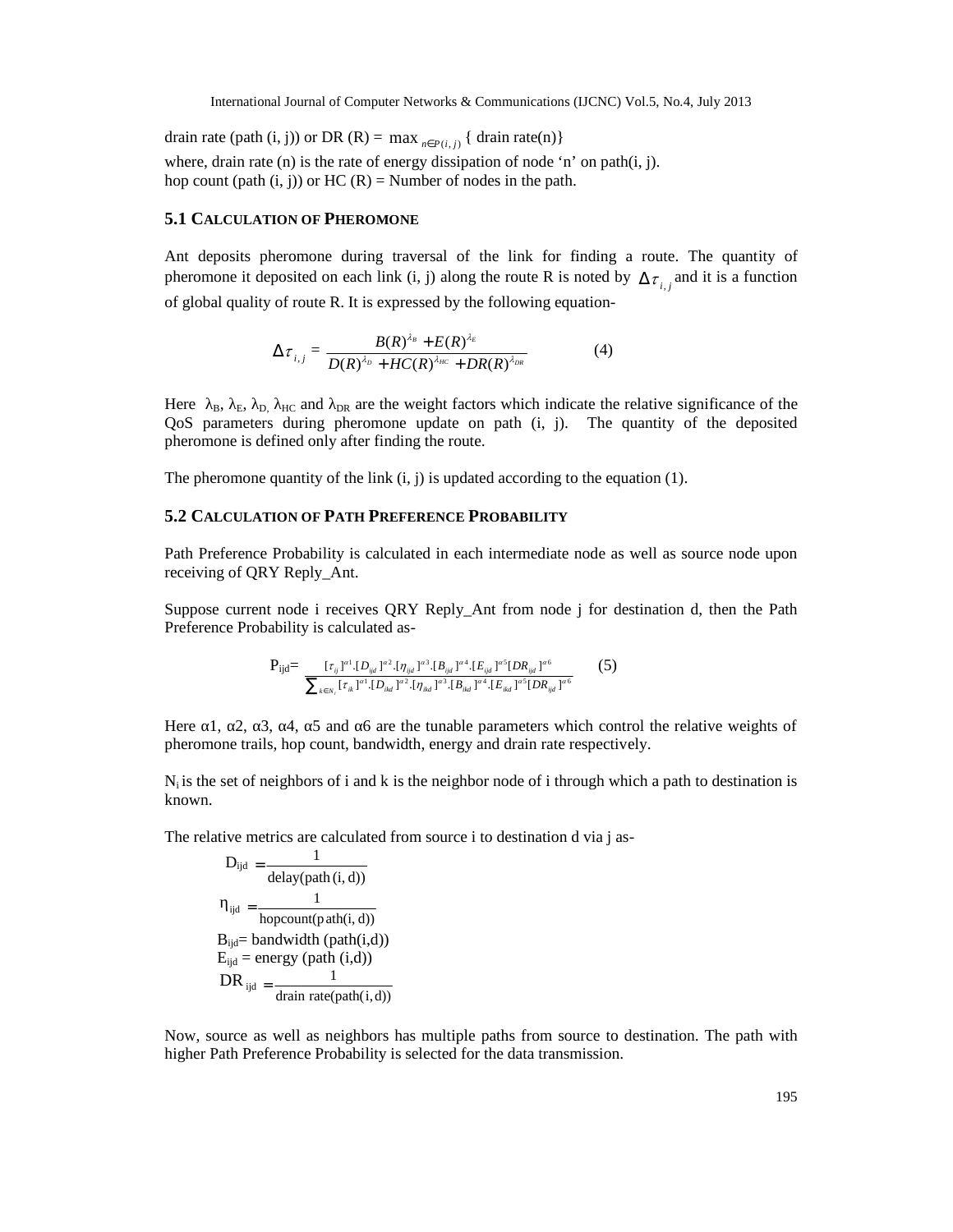drain rate (path (i, j)) or DR (R) = max  $_{n \in P(i,j)}$  { drain rate(n)} where, drain rate (n) is the rate of energy dissipation of node 'n' on path(i, j). hop count (path  $(i, j)$ ) or HC  $(R)$  = Number of nodes in the path.

## **5.1 CALCULATION OF PHEROMONE**

Ant deposits pheromone during traversal of the link for finding a route. The quantity of pheromone it deposited on each link (i, j) along the route R is noted by  $\Delta \tau_{i,j}$  and it is a function of global quality of route R. It is expressed by the following equation-

$$
\Delta \tau_{i,j} = \frac{B(R)^{\lambda_B} + E(R)^{\lambda_E}}{D(R)^{\lambda_D} + HC(R)^{\lambda_{BC}} + DR(R)^{\lambda_{DR}}}
$$
(4)

Here  $_B$ ,  $_E$ ,  $_D$ ,  $_{HC}$  and  $_{DR}$  are the weight factors which indicate the relative significance of the QoS parameters during pheromone update on path (i, j). The quantity of the deposited pheromone is defined only after finding the route.

The pheromone quantity of the link  $(i, j)$  is updated according to the equation  $(1)$ .

## **5.2 CALCULATION OF PATH PREFERENCE PROBABILITY**

Path Preference Probability is calculated in each intermediate node as well as source node upon receiving of QRY Reply\_Ant.

Suppose current node i receives QRY Reply\_Ant from node j for destination d, then the Path Preference Probability is calculated as-

$$
P_{ijd} = \frac{\left[\tau_{ij}\right]^{a_1} \cdot \left[D_{ijd}\right]^{a_2} \cdot \left[\eta_{ijd}\right]^{a_3} \cdot \left[B_{ijd}\right]^{a_4} \cdot \left[E_{ijd}\right]^{a_5} \left[D_{ijd}\right]^{a_6}}{\sum_{k \in N_i} \left[\tau_{ik}\right]^{a_1} \cdot \left[D_{iid}\right]^{a_2} \cdot \left[\eta_{iid}\right]^{a_3} \cdot \left[B_{ild}\right]^{a_4} \cdot \left[E_{iid}\right]^{a_5} \left[D_{R_{ijd}}\right]^{a_6}} \tag{5}
$$

Here  $1, 2, 3, 4, 5$  and 6 are the tunable parameters which control the relative weights of pheromone trails, hop count, bandwidth, energy and drain rate respectively.

 $N_i$  is the set of neighbors of i and k is the neighbor node of i through which a path to destination is known.

The relative metrics are calculated from source i to destination d via j as-

$$
D_{ijd} = \frac{1}{delay(path(i, d))}
$$
  

$$
ijd = \frac{1}{hopcount(path(i, d))}
$$
  

$$
B_{ijd} = bandwidth (path(i, d))
$$
  

$$
E_{ijd} = energy (path (i, d))
$$
  

$$
DR_{ijd} = \frac{1}{drain rate(path(i, d))}
$$

Now, source as well as neighbors has multiple paths from source to destination. The path with higher Path Preference Probability is selected for the data transmission.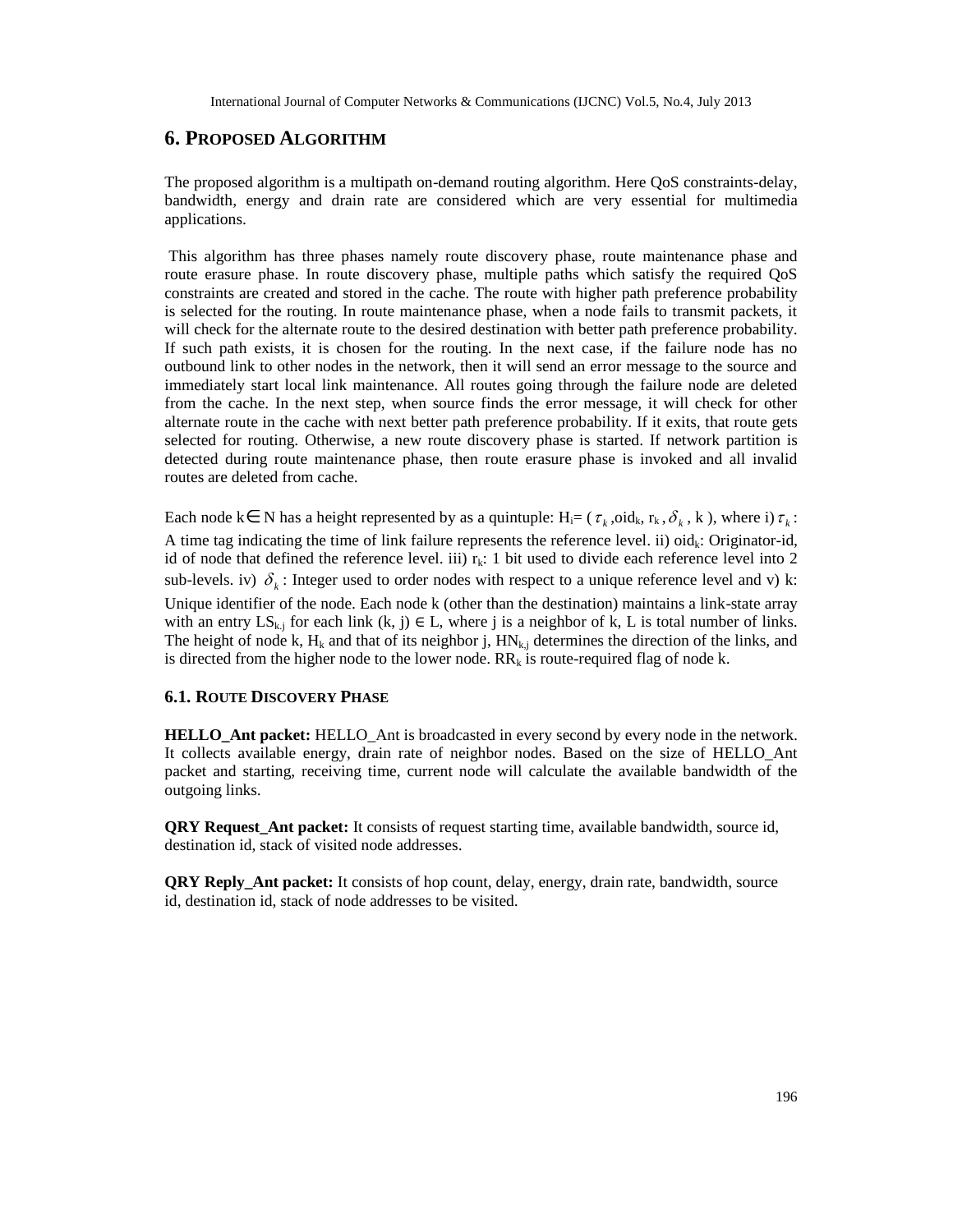# **6. PROPOSED ALGORITHM**

The proposed algorithm is a multipath on-demand routing algorithm. Here QoS constraints-delay, bandwidth, energy and drain rate are considered which are very essential for multimedia applications.

This algorithm has three phases namely route discovery phase, route maintenance phase and route erasure phase. In route discovery phase, multiple paths which satisfy the required QoS constraints are created and stored in the cache. The route with higher path preference probability is selected for the routing. In route maintenance phase, when a node fails to transmit packets, it will check for the alternate route to the desired destination with better path preference probability. If such path exists, it is chosen for the routing. In the next case, if the failure node has no outbound link to other nodes in the network, then it will send an error message to the source and immediately start local link maintenance. All routes going through the failure node are deleted from the cache. In the next step, when source finds the error message, it will check for other alternate route in the cache with next better path preference probability. If it exits, that route gets selected for routing. Otherwise, a new route discovery phase is started. If network partition is detected during route maintenance phase, then route erasure phase is invoked and all invalid routes are deleted from cache.

Each node  $k \in N$  has a height represented by as a quintuple:  $H_i = (\tau_k, \text{oid}_k, r_k, \delta_k, k)$ , where i)  $\tau_k$ : A time tag indicating the time of link failure represents the reference level. ii) oid<sub>k</sub>: Originator-id, id of node that defined the reference level. iii)  $r_k$ : 1 bit used to divide each reference level into 2 sub-levels. iv)  $\delta_k$ : Integer used to order nodes with respect to a unique reference level and v) k: Unique identifier of the node. Each node k (other than the destination) maintains a link-state array with an entry  $LS_{ki}$  for each link  $(k, j) \in L$ , where j is a neighbor of k, L is total number of links. The height of node k,  $H_k$  and that of its neighbor j,  $HN_{k,j}$  determines the direction of the links, and is directed from the higher node to the lower node.  $RR_k$  is route-required flag of node k.

# **6.1. ROUTE DISCOVERY PHASE**

**HELLO** Ant packet: HELLO Ant is broadcasted in every second by every node in the network. It collects available energy, drain rate of neighbor nodes. Based on the size of HELLO\_Ant packet and starting, receiving time, current node will calculate the available bandwidth of the outgoing links.

**QRY Request\_Ant packet:** It consists of request starting time, available bandwidth, source id, destination id, stack of visited node addresses.

**QRY Reply Ant packet:** It consists of hop count, delay, energy, drain rate, bandwidth, source id, destination id, stack of node addresses to be visited.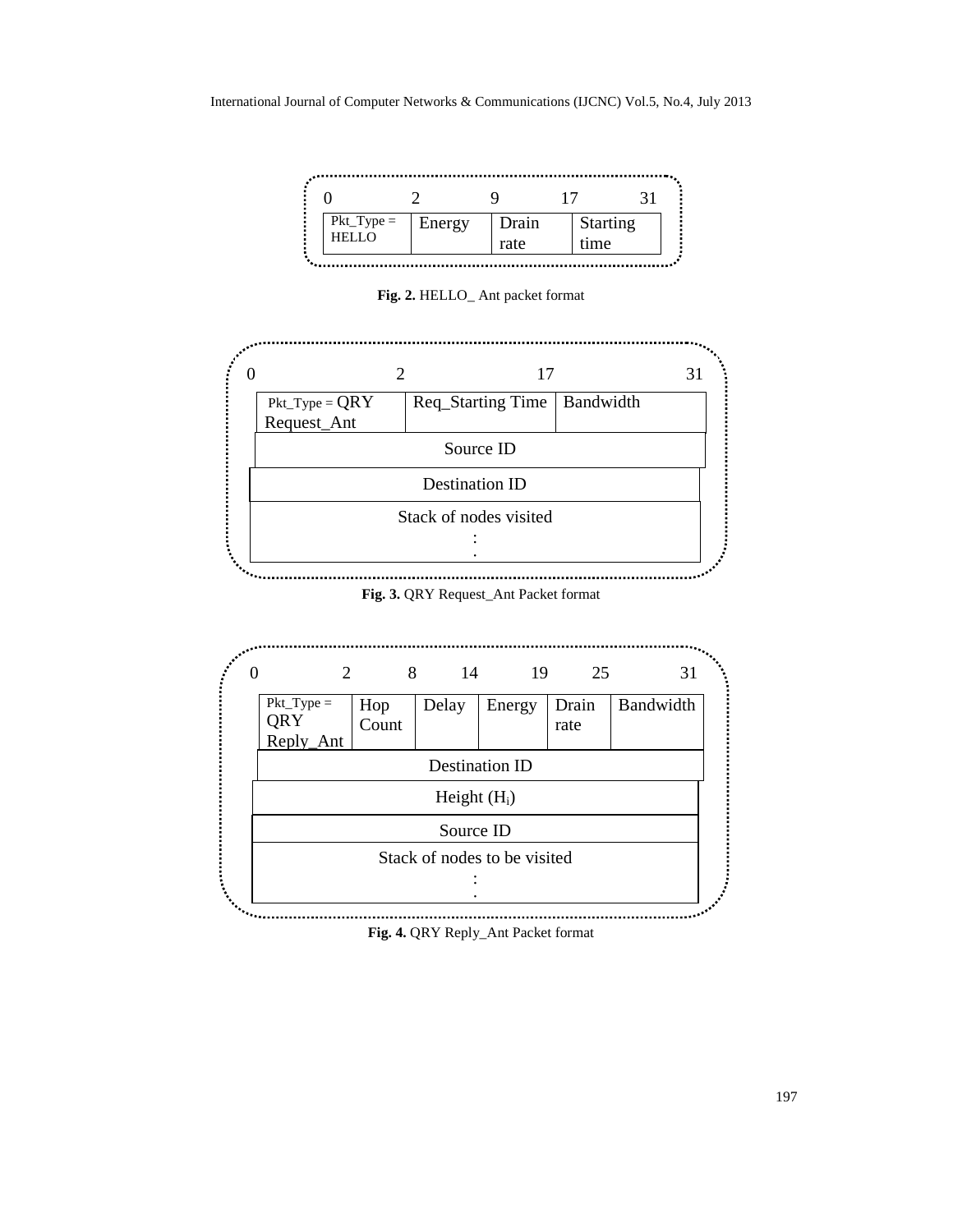| Pkt_Type =<br>HELLO | Energy | Drain<br>rate | time | <b>Starting</b> |
|---------------------|--------|---------------|------|-----------------|

**Fig. 2.** HELLO\_ Ant packet format



**Fig. 3.** QRY Request\_Ant Packet format



**Fig. 4.** QRY Reply\_Ant Packet format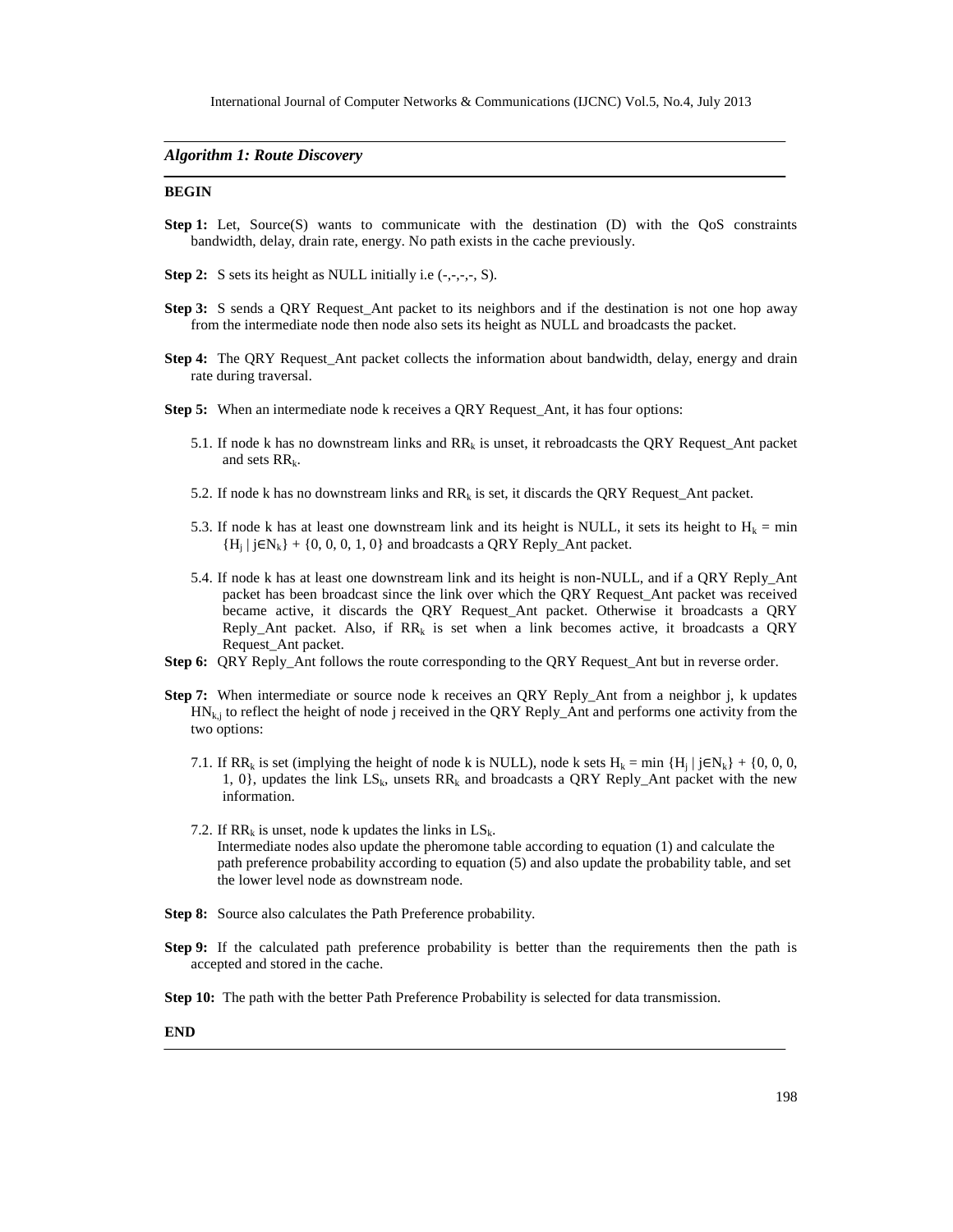## *Algorithm 1: Route Discovery*

#### **BEGIN**

- **Step 1:** Let, Source(S) wants to communicate with the destination (D) with the QoS constraints bandwidth, delay, drain rate, energy. No path exists in the cache previously.
- **Step 2:** S sets its height as NULL initially i.e (-,-,-,-, S).
- **Step 3:** S sends a QRY Request\_Ant packet to its neighbors and if the destination is not one hop away from the intermediate node then node also sets its height as NULL and broadcasts the packet.
- **Step 4:** The QRY Request\_Ant packet collects the information about bandwidth, delay, energy and drain rate during traversal.
- **Step 5:** When an intermediate node k receives a QRY Request\_Ant, it has four options:
	- 5.1. If node k has no downstream links and  $RR_k$  is unset, it rebroadcasts the QRY Request\_Ant packet and sets  $RR_k$ .
	- 5.2. If node k has no downstream links and  $RR_k$  is set, it discards the QRY Request\_Ant packet.
	- 5.3. If node k has at least one downstream link and its height is NULL, it sets its height to  $H_k = min$  ${H_j | j \in N_k} + {0, 0, 0, 1, 0}$  and broadcasts a QRY Reply\_Ant packet.
	- 5.4. If node k has at least one downstream link and its height is non-NULL, and if a QRY Reply\_Ant packet has been broadcast since the link over which the QRY Request\_Ant packet was received became active, it discards the QRY Request\_Ant packet. Otherwise it broadcasts a QRY Reply Ant packet. Also, if  $RR_k$  is set when a link becomes active, it broadcasts a ORY Request\_Ant packet.
- **Step 6:** QRY Reply Ant follows the route corresponding to the QRY Request Ant but in reverse order.
- **Step 7:** When intermediate or source node k receives an QRY Reply\_Ant from a neighbor j, k updates  $HN_{ki}$  to reflect the height of node j received in the QRY Reply\_Ant and performs one activity from the two options:
	- 7.1. If  $RR_k$  is set (implying the height of node k is NULL), node k sets  $H_k = min \{H_j | j \in N_k\} + \{0, 0, 0, 0\}$ 1, 0}, updates the link  $LS_k$ , unsets  $RR_k$  and broadcasts a QRY Reply\_Ant packet with the new information.
	- 7.2. If  $RR_k$  is unset, node k updates the links in  $LS_k$ . Intermediate nodes also update the pheromone table according to equation (1) and calculate the path preference probability according to equation (5) and also update the probability table, and set the lower level node as downstream node.
- **Step 8:** Source also calculates the Path Preference probability.
- **Step 9:** If the calculated path preference probability is better than the requirements then the path is accepted and stored in the cache.
- **Step 10:** The path with the better Path Preference Probability is selected for data transmission.

**END**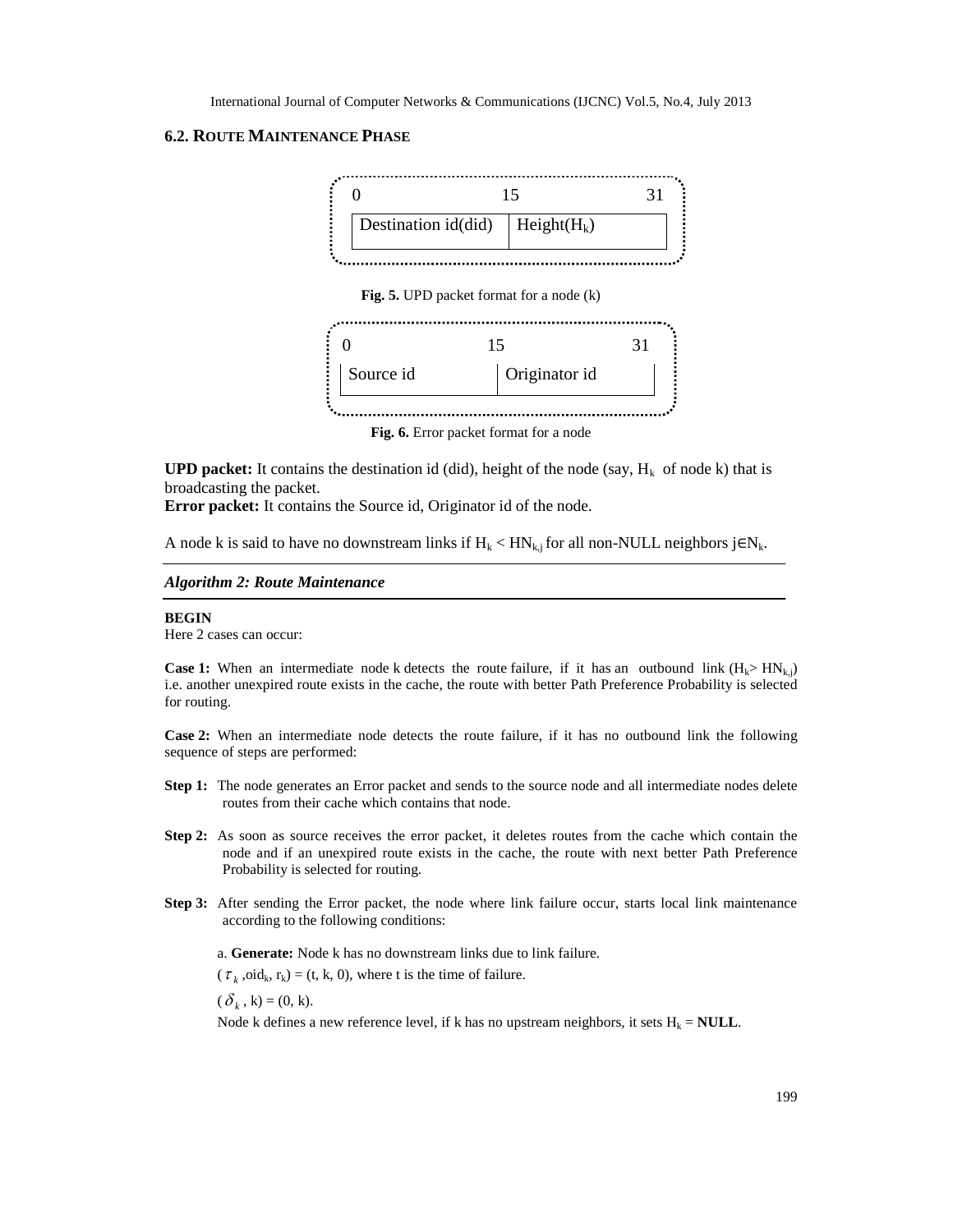## **6.2. ROUTE MAINTENANCE PHASE**



**Fig. 5.** UPD packet format for a node (k)



**UPD packet:** It contains the destination id (did), height of the node (say,  $H_k$  of node k) that is broadcasting the packet.

**Error packet:** It contains the Source id, Originator id of the node.

A node k is said to have no downstream links if  $H_k < HN_{ki}$  for all non-NULL neighbors j∈N<sub>k</sub>.

#### *Algorithm 2: Route Maintenance*

#### **BEGIN**

Here 2 cases can occur:

**Case 1:** When an intermediate node k detects the route failure, if it has an outbound link  $(H_k > HN_{k,i})$ i.e. another unexpired route exists in the cache, the route with better Path Preference Probability is selected for routing.

**Case 2:** When an intermediate node detects the route failure, if it has no outbound link the following sequence of steps are performed:

- **Step 1:** The node generates an Error packet and sends to the source node and all intermediate nodes delete routes from their cache which contains that node.
- **Step 2:** As soon as source receives the error packet, it deletes routes from the cache which contain the node and if an unexpired route exists in the cache, the route with next better Path Preference Probability is selected for routing.
- **Step 3:** After sending the Error packet, the node where link failure occur, starts local link maintenance according to the following conditions:

a. **Generate:** Node k has no downstream links due to link failure.

 $(\tau_k, \text{oid}_k, r_k) = (t, k, 0)$ , where t is the time of failure.

 $(\delta_k, k) = (0, k).$ 

Node k defines a new reference level, if k has no upstream neighbors, it sets  $H_k = NULL$ .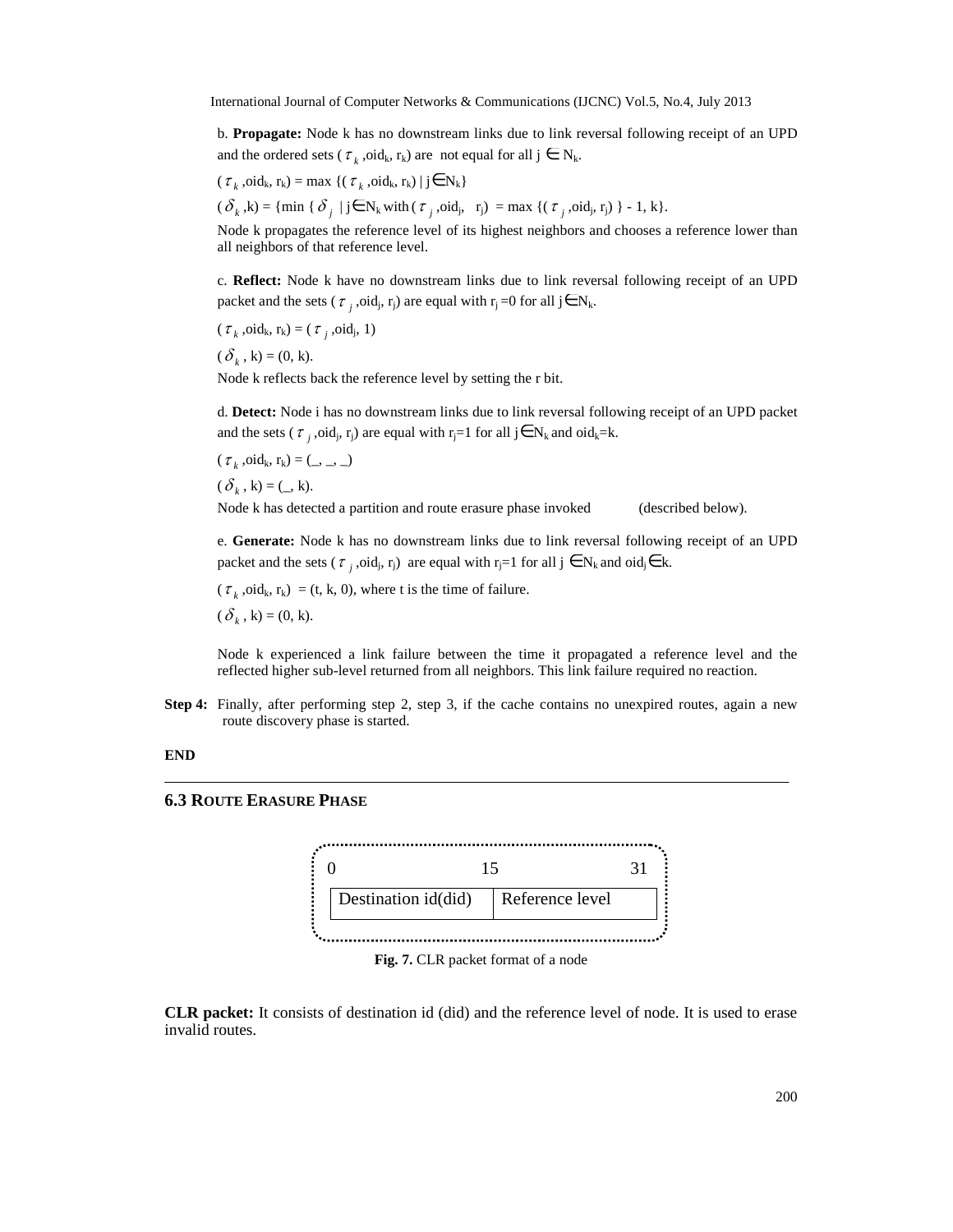b. **Propagate:** Node k has no downstream links due to link reversal following receipt of an UPD and the ordered sets ( $\tau_k$ , oid<sub>k</sub>,  $r_k$ ) are not equal for all  $j \in N_k$ .

$$
(\tau_k, \text{oid}_k, r_k) = \max \{ (\tau_k, \text{oid}_k, r_k) \mid j \in N_k \}
$$

 $(\delta_k^k, k) = \{ \min \{ \delta_j \mid j \in N_k \text{ with } (\tau_j^j, \text{oid}_j, \tau_j) = \max \{ (\tau_j^j, \text{oid}_j, \tau_j) \} - 1, k \}.$ 

Node k propagates the reference level of its highest neighbors and chooses a reference lower than all neighbors of that reference level.

c. **Reflect:** Node k have no downstream links due to link reversal following receipt of an UPD packet and the sets ( $\tau_j$ ,oid<sub>j</sub>, r<sub>j</sub>) are equal with r<sub>j</sub>=0 for all j∈N<sub>k</sub>.

$$
(\tau_k, \text{oid}_k, r_k) = (\tau_j, \text{oid}_j, 1)
$$

$$
(\delta_k, k) = (0, k).
$$

Node k reflects back the reference level by setting the r bit.

d. **Detect:** Node i has no downstream links due to link reversal following receipt of an UPD packet and the sets ( $\tau_j$ , oid<sub>j</sub>, r<sub>j</sub>) are equal with r<sub>j</sub>=1 for all j∈N<sub>k</sub> and oid<sub>k</sub>=k.

$$
(\tau_k, \text{oid}_k, r_k) = (\underline{\phantom{A}}, \underline{\phantom{A}}, \underline{\phantom{A}})
$$

 $(\delta_k, k) = (\_, k).$ 

Node k has detected a partition and route erasure phase invoked (described below).

e. **Generate:** Node k has no downstream links due to link reversal following receipt of an UPD packet and the sets ( $\tau_j$ ,oid<sub>j</sub>, r<sub>j</sub>) are equal with r<sub>j</sub>=1 for all  $j \in N_k$  and oid<sub>j</sub>∈k.

 $(\tau_k, \text{oid}_k, r_k) = (t, k, 0)$ , where t is the time of failure.

 $(\delta_k, k) = (0, k).$ 

Node k experienced a link failure between the time it propagated a reference level and the reflected higher sub-level returned from all neighbors. This link failure required no reaction.

**Step 4:** Finally, after performing step 2, step 3, if the cache contains no unexpired routes, again a new route discovery phase is started.

#### **END**

#### **6.3 ROUTE ERASURE PHASE**



**Fig. 7.** CLR packet format of a node

**CLR packet:** It consists of destination id (did) and the reference level of node. It is used to erase invalid routes.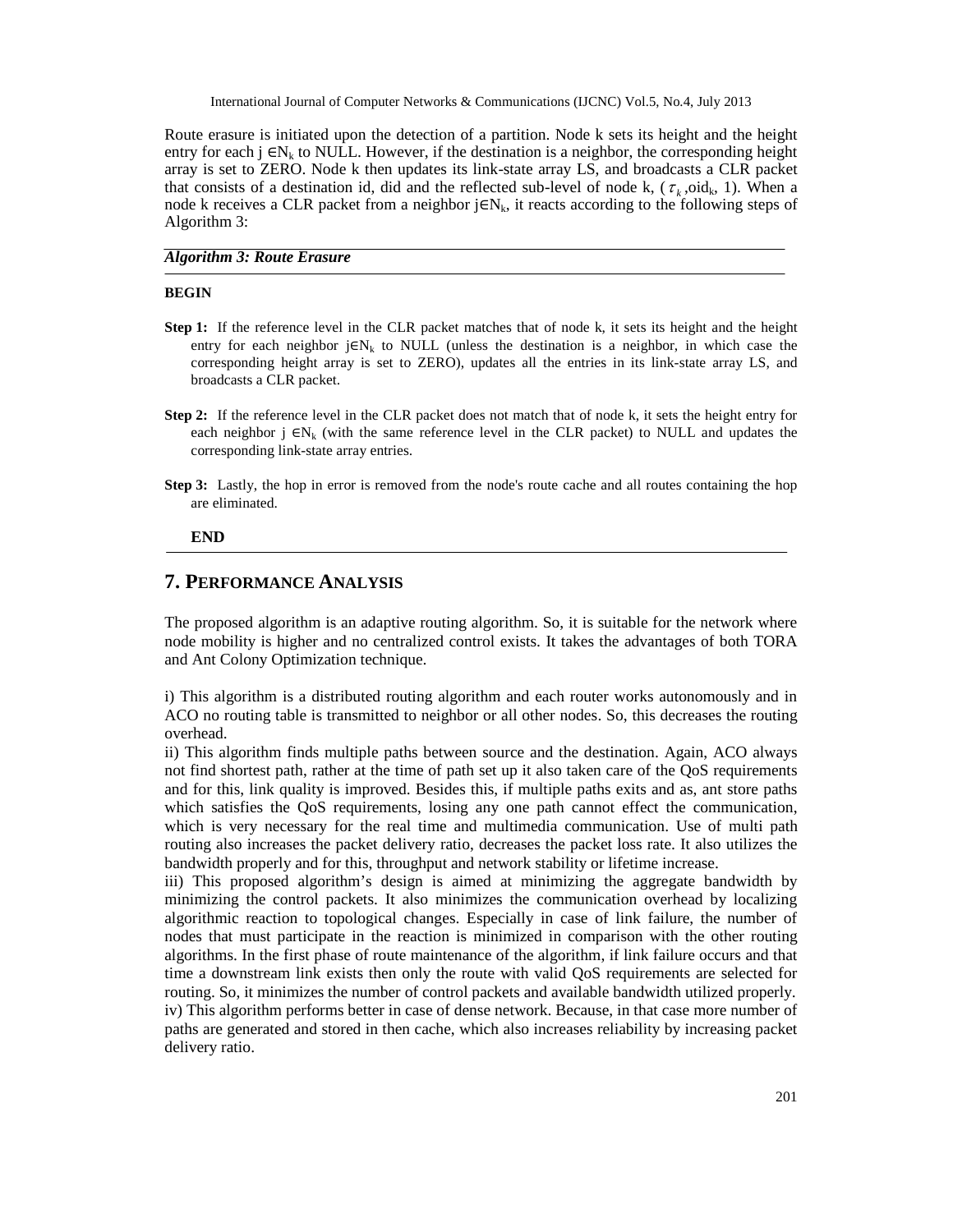Route erasure is initiated upon the detection of a partition. Node k sets its height and the height entry for each j  $\in N_k$  to NULL. However, if the destination is a neighbor, the corresponding height array is set to ZERO. Node k then updates its link-state array LS, and broadcasts a CLR packet that consists of a destination id, did and the reflected sub-level of node k,  $(\tau_k, \text{oid}_k, 1)$ . When a node k receives a CLR packet from a neighbor j $\in N_k$ , it reacts according to the following steps of Algorithm 3:

# *Algorithm 3: Route Erasure*

## **BEGIN**

- **Step 1:** If the reference level in the CLR packet matches that of node k, it sets its height and the height entry for each neighbor  $j \in N_k$  to NULL (unless the destination is a neighbor, in which case the corresponding height array is set to ZERO), updates all the entries in its link-state array LS, and broadcasts a CLR packet.
- **Step 2:** If the reference level in the CLR packet does not match that of node k, it sets the height entry for each neighbor j  $\in N_k$  (with the same reference level in the CLR packet) to NULL and updates the corresponding link-state array entries.
- **Step 3:** Lastly, the hop in error is removed from the node's route cache and all routes containing the hop are eliminated.

## **END**

## **7. PERFORMANCE ANALYSIS**

The proposed algorithm is an adaptive routing algorithm. So, it is suitable for the network where node mobility is higher and no centralized control exists. It takes the advantages of both TORA and Ant Colony Optimization technique.

i) This algorithm is a distributed routing algorithm and each router works autonomously and in ACO no routing table is transmitted to neighbor or all other nodes. So, this decreases the routing overhead.

ii) This algorithm finds multiple paths between source and the destination. Again, ACO always not find shortest path, rather at the time of path set up it also taken care of the QoS requirements and for this, link quality is improved. Besides this, if multiple paths exits and as, ant store paths which satisfies the QoS requirements, losing any one path cannot effect the communication, which is very necessary for the real time and multimedia communication. Use of multi path routing also increases the packet delivery ratio, decreases the packet loss rate. It also utilizes the bandwidth properly and for this, throughput and network stability or lifetime increase.

iii) This proposed algorithm's design is aimed at minimizing the aggregate bandwidth by minimizing the control packets. It also minimizes the communication overhead by localizing algorithmic reaction to topological changes. Especially in case of link failure, the number of nodes that must participate in the reaction is minimized in comparison with the other routing algorithms. In the first phase of route maintenance of the algorithm, if link failure occurs and that time a downstream link exists then only the route with valid QoS requirements are selected for routing. So, it minimizes the number of control packets and available bandwidth utilized properly. iv) This algorithm performs better in case of dense network. Because, in that case more number of paths are generated and stored in then cache, which also increases reliability by increasing packet delivery ratio.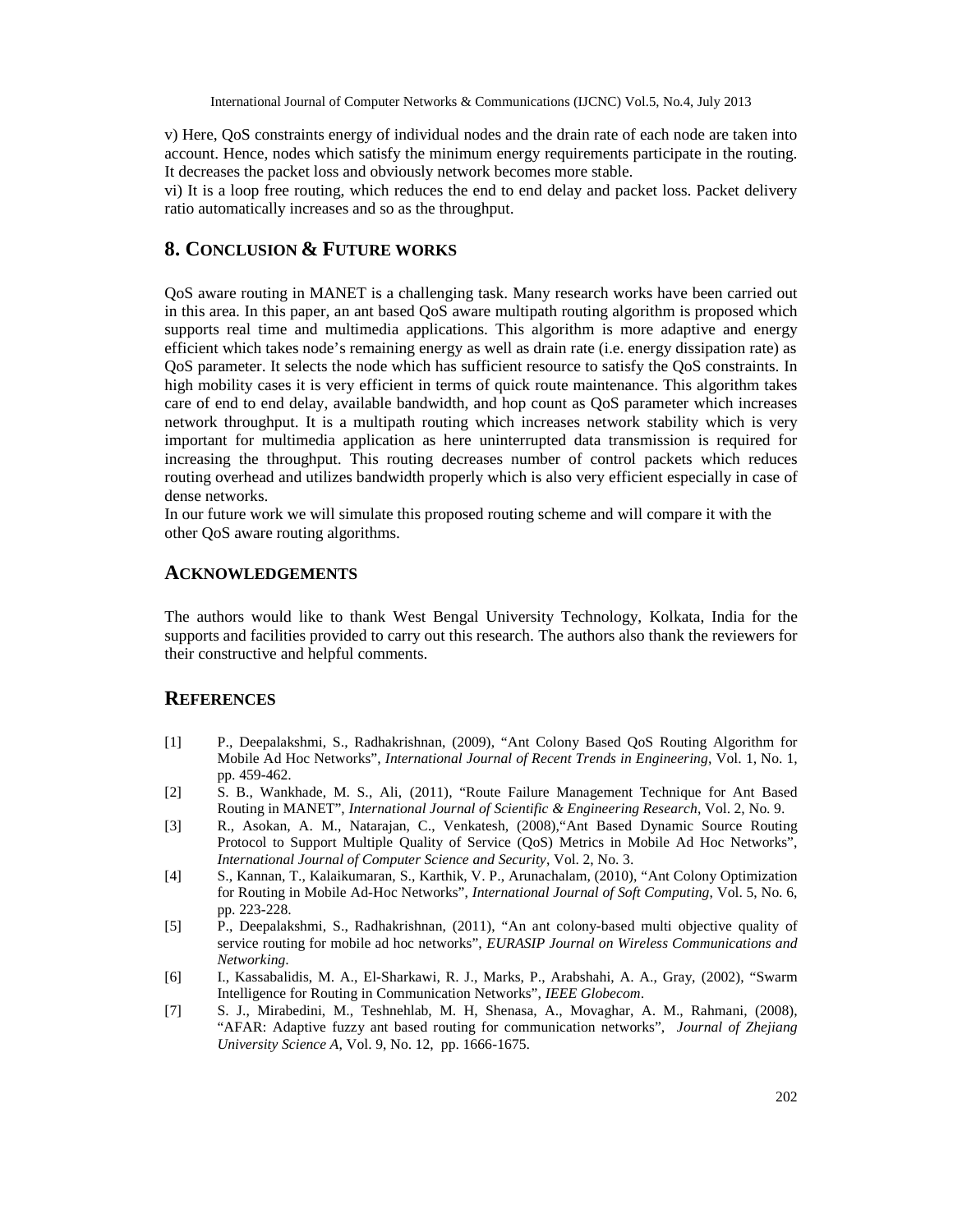v) Here, QoS constraints energy of individual nodes and the drain rate of each node are taken into account. Hence, nodes which satisfy the minimum energy requirements participate in the routing. It decreases the packet loss and obviously network becomes more stable.

vi) It is a loop free routing, which reduces the end to end delay and packet loss. Packet delivery ratio automatically increases and so as the throughput.

# **8. CONCLUSION & FUTURE WORKS**

QoS aware routing in MANET is a challenging task. Many research works have been carried out in this area. In this paper, an ant based QoS aware multipath routing algorithm is proposed which supports real time and multimedia applications. This algorithm is more adaptive and energy efficient which takes node's remaining energy as well as drain rate (i.e. energy dissipation rate) as QoS parameter. It selects the node which has sufficient resource to satisfy the QoS constraints. In high mobility cases it is very efficient in terms of quick route maintenance. This algorithm takes care of end to end delay, available bandwidth, and hop count as QoS parameter which increases network throughput. It is a multipath routing which increases network stability which is very important for multimedia application as here uninterrupted data transmission is required for increasing the throughput. This routing decreases number of control packets which reduces routing overhead and utilizes bandwidth properly which is also very efficient especially in case of dense networks.

In our future work we will simulate this proposed routing scheme and will compare it with the other QoS aware routing algorithms.

# **ACKNOWLEDGEMENTS**

The authors would like to thank West Bengal University Technology, Kolkata, India for the supports and facilities provided to carry out this research. The authors also thank the reviewers for their constructive and helpful comments.

## **REFERENCES**

- [1] P., Deepalakshmi, S., Radhakrishnan, (2009), "Ant Colony Based QoS Routing Algorithm for Mobile Ad Hoc Networks", *International Journal of Recent Trends in Engineering*, Vol. 1, No. 1, pp. 459-462.
- [2] S. B., Wankhade, M. S., Ali, (2011), "Route Failure Management Technique for Ant Based Routing in MANET", *International Journal of Scientific & Engineering Research*, Vol. 2, No. 9.
- [3] R., Asokan, A. M., Natarajan, C., Venkatesh, (2008),"Ant Based Dynamic Source Routing Protocol to Support Multiple Quality of Service (QoS) Metrics in Mobile Ad Hoc Networks", *International Journal of Computer Science and Security*, Vol. 2, No. 3.
- [4] S., Kannan, T., Kalaikumaran, S., Karthik, V. P., Arunachalam, (2010), "Ant Colony Optimization for Routing in Mobile Ad-Hoc Networks", *International Journal of Soft Computing*, Vol. 5, No. 6, pp. 223-228.
- [5] P., Deepalakshmi, S., Radhakrishnan, (2011), "An ant colony-based multi objective quality of service routing for mobile ad hoc networks", *EURASIP Journal on Wireless Communications and Networking*.
- [6] I., Kassabalidis, M. A., El-Sharkawi, R. J., Marks, P., Arabshahi, A. A., Gray, (2002), "Swarm Intelligence for Routing in Communication Networks", *IEEE Globecom*.
- [7] S. J., Mirabedini, M., Teshnehlab, M. H, Shenasa, A., Movaghar, A. M., Rahmani, (2008), "AFAR: Adaptive fuzzy ant based routing for communication networks", *Journal of Zhejiang University Science A*, Vol. 9, No. 12, pp. 1666-1675.